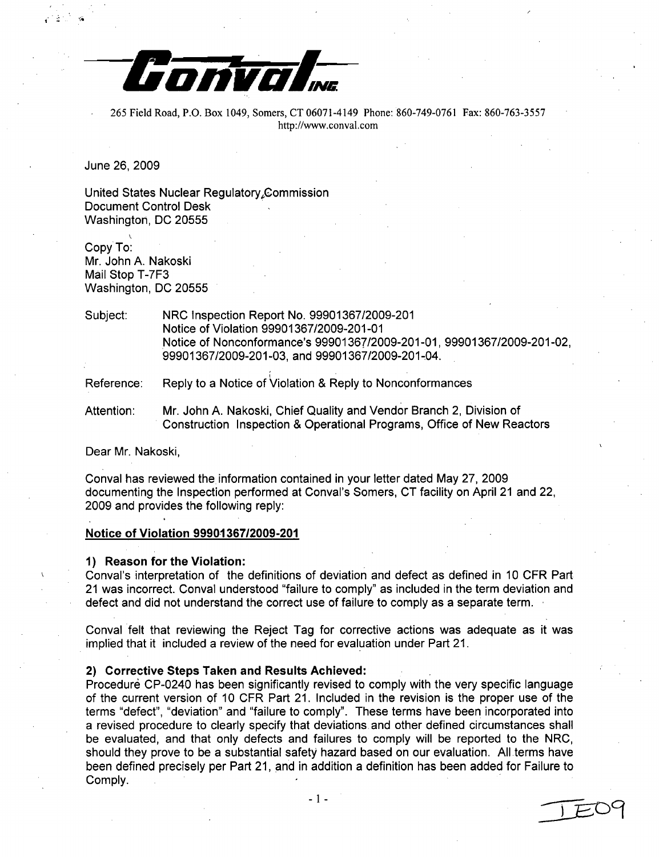

265 Field Road, P.O. Box 1049, Somers, CT 06071-4149 Phone: 860-749-0761 Fax: 860-763-3557 http://www.conval.com

June 26, 2009

United States Nuclear Regulatory Commission Document Control Desk Washington, DC 20555

Copy To: Mr. John A. Nakoski Mail Stop T-7F3 Washington, DC 20555

Subject: NRC Inspection Report No. 99901367/2009-201 Notice of Violation 99901367/2009-201-01 Notice of Nonconformance's 99901367/2009-201-01, 99901367/2009-201-02, 99901367/2009-201-03, and 99901367/2009-201-04.

Reference: Reply to a Notice of Violation & Reply to Nonconformances

Attention: Mr. John A. Nakoski, Chief Quality and Vendor Branch 2, Division of Construction Inspection & Operational Programs, Office of New Reactors

Dear Mr. Nakoski,

Conval has reviewed the information contained in your letter dated May 27, 2009 documenting the Inspection performed at Conval's Somers, CT facility on April 21 and 22, 2009 and provides the following reply:

# Notice of Violation **99901367/2009-201**

#### **1)** Reason for the Violation:

Conval's interpretation of the definitions of deviation and defect as defined in 10 CFR Part 21 was incorrect. Conval understood "failure to comply" as included in the term deviation and defect and did not understand the correct use of failure to comply as a separate term.

Conval felt that reviewing the Reject Tag for corrective actions was adequate as it was implied that it included a review of the need for evaluation under Part 21.

## 2) Corrective Steps Taken and Results Achieved:

Procedure CP-0240 has been significantly revised to comply with the very specific language of the current version of 10 CFR Part 21. Included in the revision is the proper use of the terms "defect", "deviation" and "failure to comply". These terms have been incorporated into a revised procedure to clearly specify that deviations and other defined circumstances shall be evaluated, and that only defects and failures to comply will be reported to the NRC, should they prove to be a substantial safety hazard based on our evaluation. All terms have been defined precisely per Part 21, and in addition a definition has been added for Failure to  $\mathsf{Comply.}$  . The complysion of  $\mathcal{L}^1$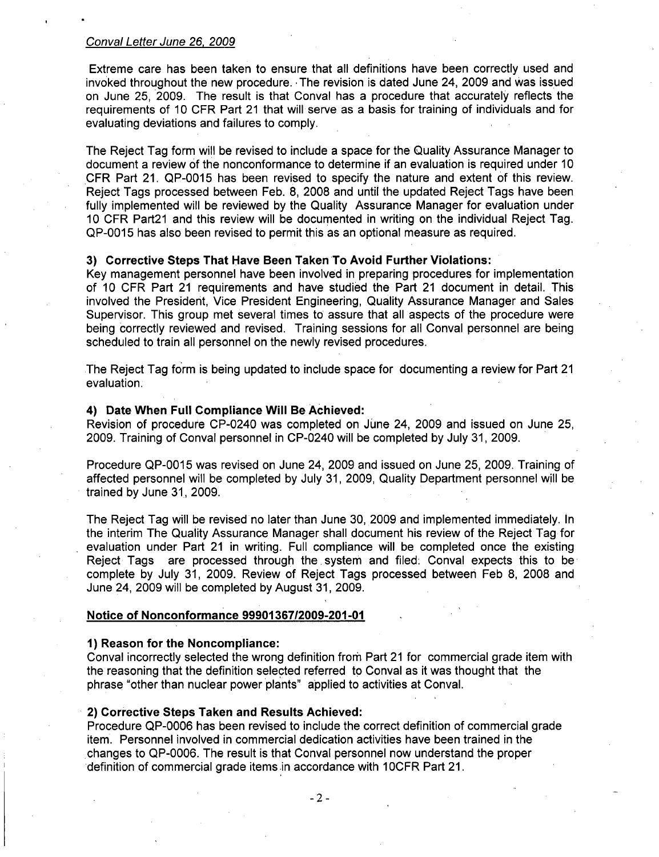Extreme care has been taken to ensure that all definitions have been correctly used and invoked throughout the new procedure. The revision is dated June 24, 2009 and was issued on June 25, 2009. The result is that Conval has a procedure that accurately reflects the requirements of 10 CFR Part 21 that will serve as a basis for training of individuals and for evaluating deviations and failures to comply.

The Reject Tag form will be revised to include a space for the Quality Assurance Manager to document a review of the nonconformance to determine if an evaluation is required under 10 CFR Part 21. QP-0015 has been revised to specify the nature and extent of this review. Reject Tags processed between Feb. 8, 2008 and until the updated Reject Tags have been fully implemented will be reviewed by the Quality Assurance Manager for evaluation under 10 CFR Part21 and this review will be documented in writing on the individual Reject Tag. QP-0015 has also been revised to permit this as an optional measure as required.

# **3)** Corrective Steps That Have Been Taken To Avoid Further Violations:

Key management personnel have been involved in preparing procedures for implementation of 10 CFR Part 21 requirements and have studied the Part 21 document in detail. This involved the President, Vice President Engineering, Quality Assurance Manager and Sales Supervisor. This group met several times to assure that all aspects of the procedure were being correctly reviewed and revised. Training sessions for all Conval personnel are being scheduled to train all personnel on the newly revised procedures.

The Reject Tag form is being updated to include space for documenting a review for Part 21 evaluation.

#### 4) Date When Full Compliance Will Be Achieved:

Revision of procedure CP-0240 was completed on June 24, 2009 and issued on June 25, 2009. Training of Conval personnel in CP-0240 will be completed by July 31, 2009.

Procedure QP-0015 was revised on June 24, 2009 and issued on June 25, 2009. Training of affected personnel will be completed by July 31, 2009, Quality Department personnel will be trained by June **31,** 2009.

The Reject Tag will be revised no later than June 30, 2009 and implemented immediately. In the interim The Quality Assurance Manager shall document his review of the Reject Tag for evaluation under Part 21 in writing. Full compliance will be completed once the existing Reject Tags are processed through the. system and filed. Conval expects this to be complete by July 31, 2009. Review of Reject Tags processed between Feb 8, 2008 and June 24, 2009 will be completed by August 31, 2009.

#### Notice of Nonconformance **99901367/2009-201-01**

#### **1)** Reason for the Noncompliance:

Conval incorrectly selected the wrong definition from Part 21 for commercial grade item with the reasoning that the definition selected referred to Conval as it was thought that the phrase "other than nuclear power plants" applied to activities at Conval.

## 2) Corrective Steps Taken and Results Achieved:

Procedure QP-0006 has been revised to include the correct definition of commercial grade item. Personnel involved in commercial dedication activities have been trained in the changes to QP-0006. The result is that Conval personnel now understand the proper definition of commercial grade items in accordance with 1 OCFR Part 21.

-2-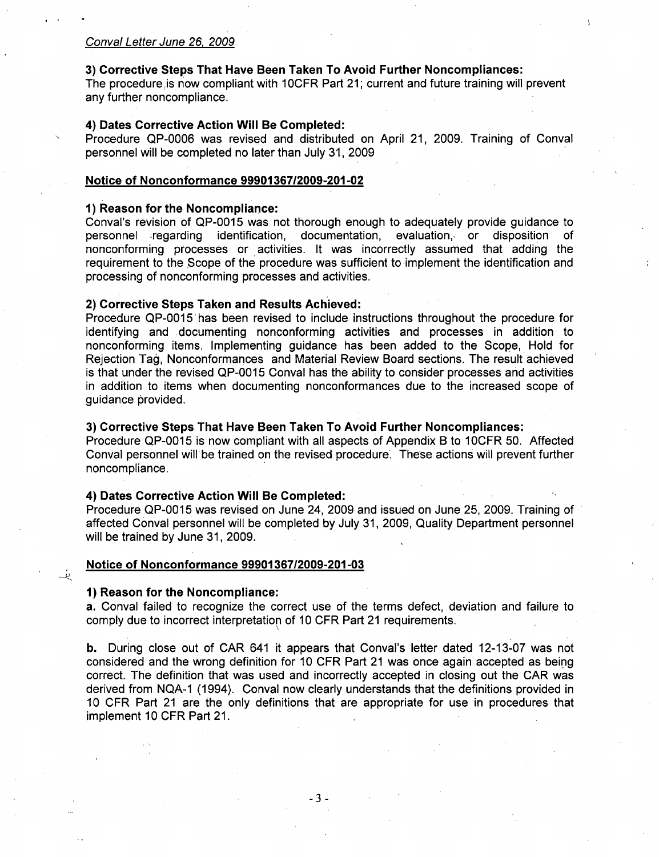# **3)** Corrective Steps That Have Been Taken To Avoid Further Noncompliances:

The procedure is now compliant with 10CFR Part 21; current and future training will prevent any further noncompliance.

## 4) Dates Corrective Action Will Be Completed:

Procedure QP-0006 was revised and distributed on April 21, 2009. Training of Conval personnel will be completed no later than July 31, 2009

#### Notice of Nonconformance **99901367/2009-201-02**

## **1)** Reason for the Noncompliance:

Conval's revision of QP-0015 was not thorough enough to adequately provide guidance to personnel regarding identification, documentation, evaluation, or disposition of nonconforming processes or activities. It was incorrectly assumed that adding the requirement to the \$cope of the procedure was sufficient to-implement the identification and processing of nonconforming processes and activities.

# 2) Corrective Steps Taken and Results Achieved:

Procedure QP-0015'has been revised to include instructions throughout the procedure for identifying and documenting nonconforming activities and processes in addition to nonconforming items. Implementing guidance has been added to the Scope, Hold for Rejection Tag, Nonconformances and Material Review Board sections. The result achieved is that under the revised QP-0015 Conval has the ability to consider processes and activities in addition to items when documenting nonconformances due to the increased scope of guidance provided.

# **3)** Corrective Steps That Have Been Taken To Avoid Further Noncompliances:

Procedure QP-0015 is now compliant with all aspects of Appendix B to 1OCFR 50. Affected Conval personnel will be trained on the revised procedure. These actions will prevent further noncompliance.

# 4) Dates Corrective Action Will Be Completed:

Procedure QP-0015 was revised on June 24, 2009 and issued on June 25, 2009. Training of affected Conval personnel will be completed by July 31, 2009, Quality Department personnel will be trained by June 31, 2009.

## Notice of Nonconformance **99901367/2009-201-03**

#### **1)** Reason for the Noncompliance:

نیز

a. Conval failed to recognize the correct use of the terms defect, deviation and failure to comply due to incorrect interpretation of 10 CFR Part 21 requirements.

b. During close out of CAR 641 it appears that Conval's letter dated 12-13-07 was not considered and the wrong definition for 10 CFR Part 21 was once again accepted as being correct. The definition that was used and incorrectly accepted in closing out the CAR was derived from NQA-1 (1994). Conval now clearly understands that the definitions provided in 10 CFR Part 21 are the only definitions that are appropriate for use in procedures that implement 10 CFR Part 21.

-3-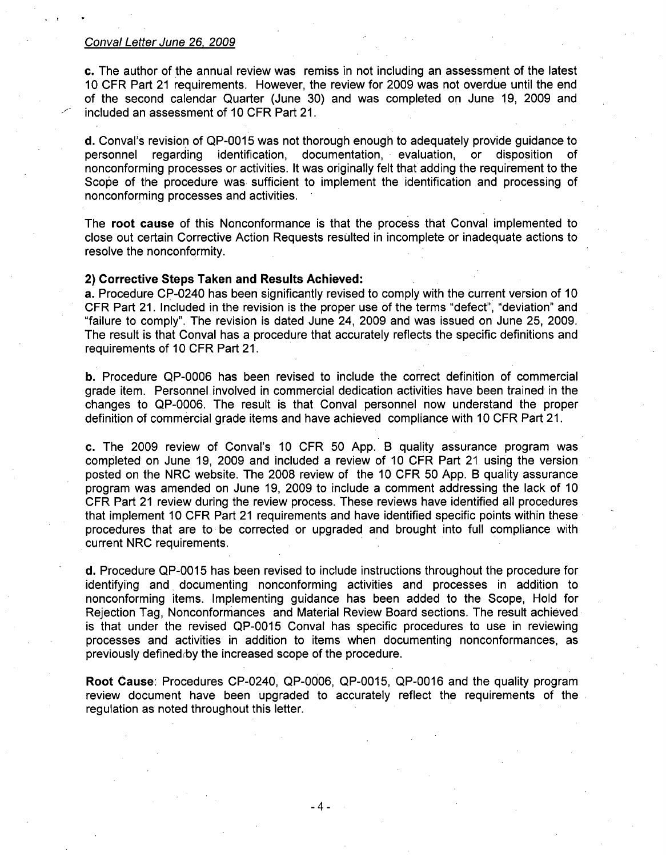c. The author of the annual review was remiss in not including an assessment of the latest 10 CFR Part 21 requirements. However, the review for 2009 was not overdue until the end of the second calendar Quarter (June 30) and was completed on June 19, 2009 and included an assessment of 10 CFR Part 21.

d. Conval's revision of QP-0015 was not thorough enough to adequately provide guidance to personnel regarding identification, documentation, evaluation, or disposition of nonconforming processes or activities. It was originally felt that adding the requirement to the Scope of the procedure was sufficient to implement the identification and processing of nonconforming processes and activities.

The root cause of this Nonconformance is that the process that Conval implemented to close out certain Corrective Action Requests resulted in incomplete or inadequate actions to resolve the nonconformity.

# 2) Corrective Steps Taken and Results Achieved:

a. Procedure CP-0240 has been significantly revised to comply with the current version of 10 CFR Part 21. Included in the revision is the proper use of the terms "defect", "deviation" and "failure to comply". The revision is dated June 24, 2009 and was issued on June 25, 2009. The result is that Conval has a procedure that accurately reflects the specific definitions and requirements of 10 CFR Part 21.

b. Procedure QP-0006 has been revised to include the correct definition of commercial grade item. Personnel involved in commercial dedication activities have been trained in the changes to QP-0006. The result is that Conval personnel now understand the proper definition of commercial grade items and have achieved compliance with 10 CFR Part 21.

c. The 2009 review of Conval's 10 CFR 50 App. B quality assurance program was completed on June 19, 2009 and included a review of 10 CFR Part 21 using the version posted on the NRC website. The 2008 review of the 10 CFR 50 App. B quality assurance program was amended on June 19, 2009 to include a comment addressing the lack of 10 CFR Part 21 review during the review process. These reviews have identified all procedures that implement 10 CFR Part 21 requirements and have identified specific points within these procedures that are to be corrected or upgraded and brought into full compliance with current NRC requirements.

d. Procedure QP-0015 has been revised to include instructions throughout the procedure for identifying and documenting nonconforming activities and processes in addition to nonconforming items. Implementing guidance has been added to the Scope, Hold for Rejection Tag, Nonconformances and Material Review Board sections. The result achieved is that under the revised QP-0015 Conval has specific procedures to use in reviewing processes and activities in addition to items when documenting nonconformances, as previously defined by the increased scope of the procedure.

Root Cause: Procedures CP-0240, QP-0006, QP-0015, QP-0016 and the quality program review document have been upgraded to accurately reflect the requirements of the regulation as noted throughout this letter.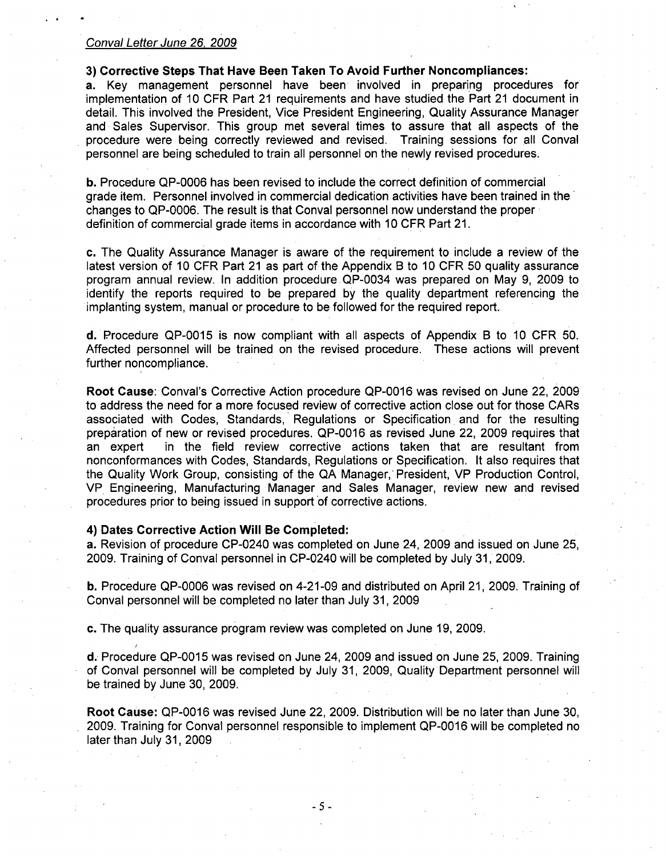# **3)** Corrective Steps That Have Been Taken To Avoid Further Noncompliances:

a. Key management personnel have been involved in preparing procedures for implementation of 10 CFR Part 21 requirements and have studied the Part 21 document in detail. This involved the President, Vice President Engineering, Quality Assurance Manager and Sales Supervisor. This group met several times to assure that all aspects of the procedure were being correctly reviewed and revised. Training sessions for all Conval personnel are being scheduled to train all personnel on the newly revised procedures.

**b.** Procedure QP-0006 has been revised to include the correct definition of commercial grade item. Personnel involved in commercial dedication activities have been trained in the changes to QP-0006. The result is that Conval personnel now understand the proper definition of commercial grade items in accordance with 10 CFR Part 21.

c. The Quality Assurance Manager is aware of the requirement to include a review of the latest version of 10 CFR Part 21 as part of the Appendix B to 10 CFR 50 quality assurance program annual review. In addition procedure QP-0034 was prepared on May 9, 2009 to identify the reports required to be prepared by the quality department referencing the implanting system, manual or procedure to be followed for the required report.

d. Procedure QP-0015 is now compliant with all aspects of Appendix B to 10 CFR 50. Affected personnel will be trained on the revised procedure. These actions will prevent further noncompliance.

Root Cause: Conval's Corrective Action procedure QP-0016 was revised on June 22, 2009 to address the need for a more focused review of corrective action close out for those CARs associated with Codes, Standards, Regulations or Specification. and for the resulting preparation of new or revised procedures. QP-0016 as revised June 22, 2009 requires that an expert in the field review corrective actions taken that are resultant from nonconformances with Codes, Standards, Regulations or Specification. It also requires that the Quality Work Group, consisting of the QA Manager, President, VP Production Control, VP Engineering, Manufacturing Manager and Sales Manager, review new and revised procedures prior to being issued in support of corrective actions.

## 4) Dates Corrective Action Will Be Completed:

a. Revision of procedure CP-0240 was completed on June 24, 2009 and issued on June 25, 2009. Training of Conval personnel in CP-0240 will be completed by July 31, 2009.

b. Procedure QP-0006 was revised on 4-21-09 and distributed on April 21, 2009. Training of Conval personnel will be completed no later than July 31, 2009

c. The quality assurance program review was completed on June 19, 2009.

d. Procedure QP-0015 was revised on June 24, 2009 and issued on June 25, 2009. Training of Conval personnel will be completed by July 31, 2009, Quality Department personnel will be trained by June 30, 2009.

Root Cause: QP-0016 was revised June 22, 2009. Distribution will be no later than June 30, 2009. Training for Conval personnel responsible to implement QP-0016 will be completed no later than July 31, 2009

*-5-*